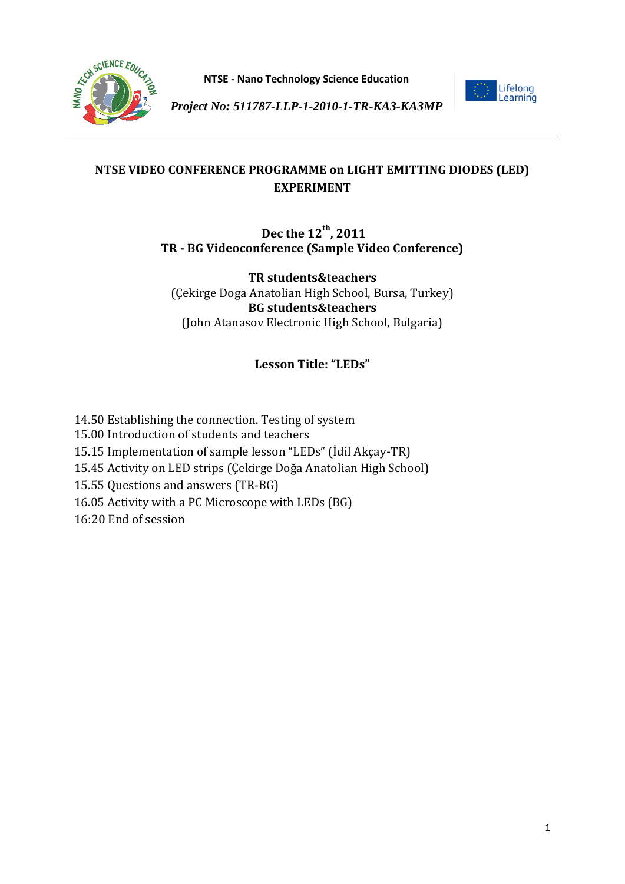



*Project No: 511787-LLP-1-2010-1-TR-KA3-KA3MP*

# **NTSE VIDEO CONFERENCE PROGRAMME on LIGHT EMITTING DIODES (LED) EXPERIMENT**

# **Dec the 12th, 2011 TR - BG Videoconference (Sample Video Conference)**

**TR students&teachers** (Çekirge Doga Anatolian High School, Bursa, Turkey) **BG students&teachers** (John Atanasov Electronic High School, Bulgaria)

# **Lesson Title: "LEDs"**

- 14.50 Establishing the connection. Testing of system 15.00 Introduction of students and teachers 15.15 Implementation of sample lesson "LEDs" (İdil Akçay-TR) 15.45 Activity on LED strips (Çekirge Doğa Anatolian High School) 15.55 Questions and answers (TR-BG)
- 16.05 Activity with a PC Microscope with LEDs (BG)
- 16:20 End of session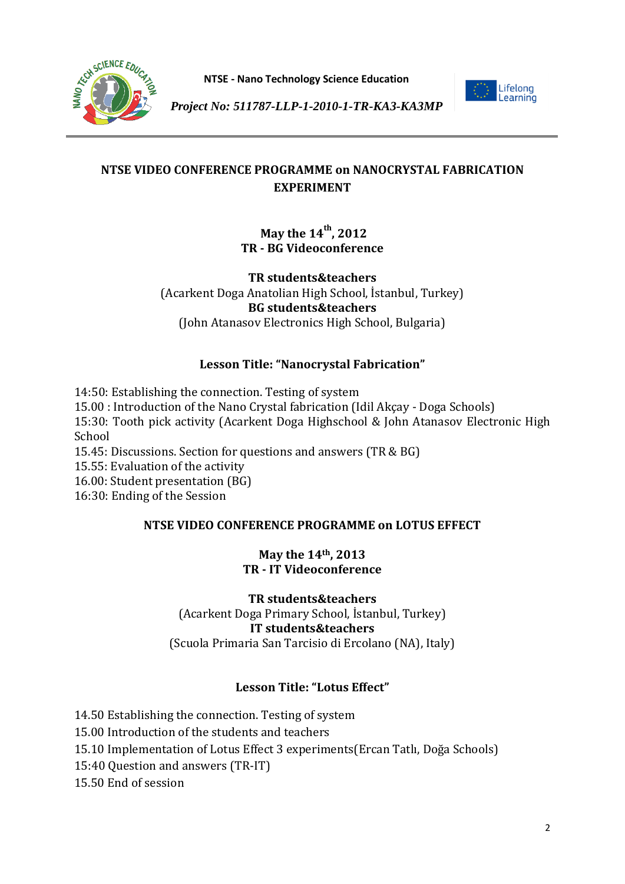



*Project No: 511787-LLP-1-2010-1-TR-KA3-KA3MP*

# **NTSE VIDEO CONFERENCE PROGRAMME on NANOCRYSTAL FABRICATION EXPERIMENT**

# **May the 14th, 2012 TR - BG Videoconference**

**TR students&teachers** (Acarkent Doga Anatolian High School, İstanbul, Turkey) **BG students&teachers** (John Atanasov Electronics High School, Bulgaria)

# **Lesson Title: "Nanocrystal Fabrication"**

14:50: Establishing the connection. Testing of system

15.00 : Introduction of the Nano Crystal fabrication (Idil Akçay - Doga Schools) 15:30: Tooth pick activity (Acarkent Doga Highschool & John Atanasov Electronic High School 15.45: Discussions. Section for questions and answers (TR & BG)

15.55: Evaluation of the activity

16.00: Student presentation (BG)

16:30: Ending of the Session

# **NTSE VIDEO CONFERENCE PROGRAMME on LOTUS EFFECT**

## **May the 14th, 2013 TR - IT Videoconference**

### **TR students&teachers** (Acarkent Doga Primary School, İstanbul, Turkey) **IT students&teachers** (Scuola Primaria San Tarcisio di Ercolano (NA), Italy)

# **Lesson Title: "Lotus Effect"**

14.50 Establishing the connection. Testing of system

- 15.00 Introduction of the students and teachers
- 15.10 Implementation of Lotus Effect 3 experiments(Ercan Tatlı, Doğa Schools)
- 15:40 Question and answers (TR-IT)
- 15.50 End of session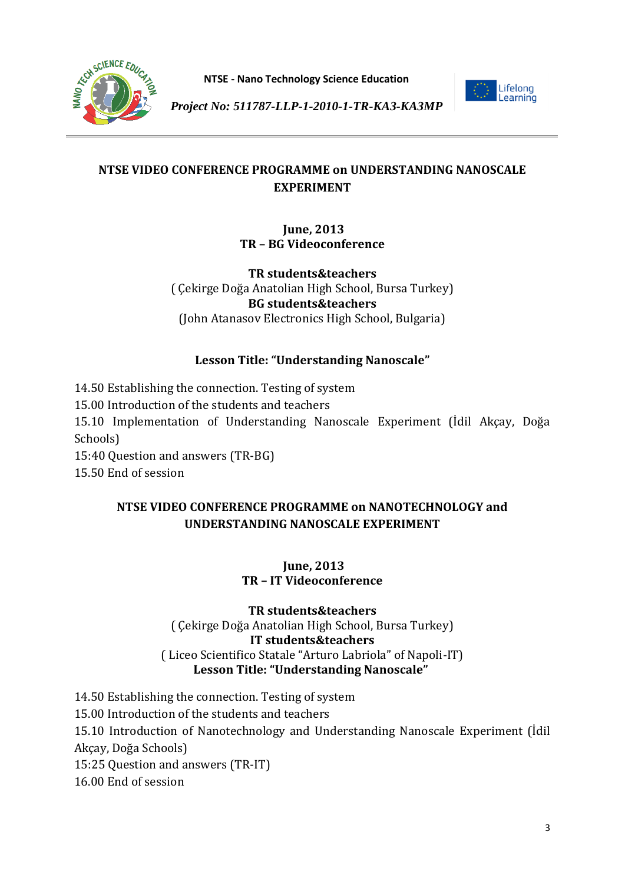



*Project No: 511787-LLP-1-2010-1-TR-KA3-KA3MP*

# **NTSE VIDEO CONFERENCE PROGRAMME on UNDERSTANDING NANOSCALE EXPERIMENT**

## **June, 2013 TR – BG Videoconference**

**TR students&teachers** ( Çekirge Doğa Anatolian High School, Bursa Turkey) **BG students&teachers** (John Atanasov Electronics High School, Bulgaria)

# **Lesson Title: "Understanding Nanoscale"**

14.50 Establishing the connection. Testing of system 15.00 Introduction of the students and teachers 15.10 Implementation of Understanding Nanoscale Experiment (İdil Akçay, Doğa Schools) 15:40 Question and answers (TR-BG)

15.50 End of session

# **NTSE VIDEO CONFERENCE PROGRAMME on NANOTECHNOLOGY and UNDERSTANDING NANOSCALE EXPERIMENT**

## **June, 2013 TR – IT Videoconference**

### **TR students&teachers** ( Çekirge Doğa Anatolian High School, Bursa Turkey) **IT students&teachers** ( Liceo Scientifico Statale "Arturo Labriola" of Napoli-IT)  **Lesson Title: "Understanding Nanoscale"**

14.50 Establishing the connection. Testing of system 15.00 Introduction of the students and teachers 15.10 Introduction of Nanotechnology and Understanding Nanoscale Experiment (İdil Akçay, Doğa Schools) 15:25 Question and answers (TR-IT) 16.00 End of session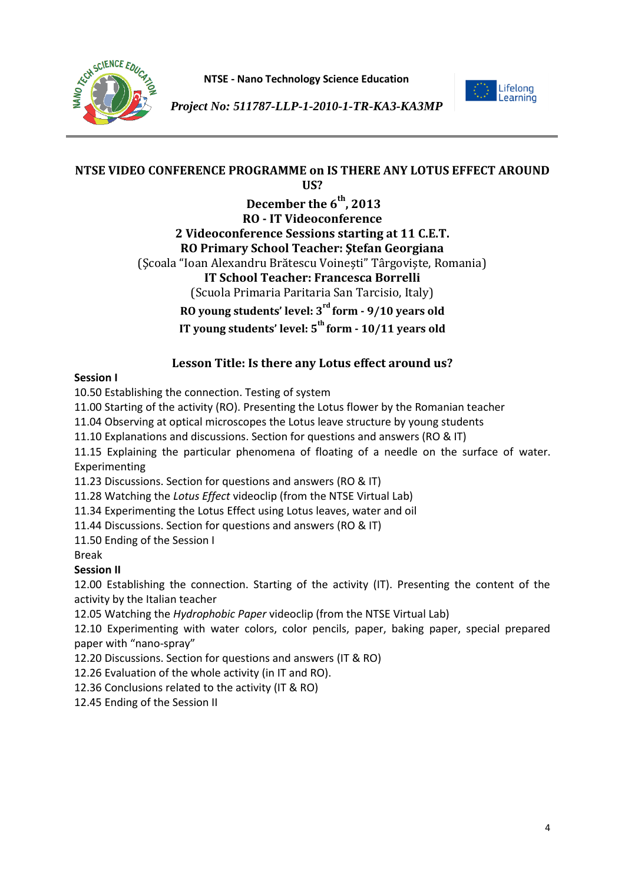



*Project No: 511787-LLP-1-2010-1-TR-KA3-KA3MP*

#### **NTSE VIDEO CONFERENCE PROGRAMME on IS THERE ANY LOTUS EFFECT AROUND US?**

**December the 6th, 2013 RO - IT Videoconference 2 Videoconference Sessions starting at 11 C.E.T. RO Primary School Teacher: Ştefan Georgiana**  (Şcoala "Ioan Alexandru Brătescu Voineşti" Târgovişte, Romania) **IT School Teacher: Francesca Borrelli**  (Scuola Primaria Paritaria San Tarcisio, Italy) **RO young students' level: 3rd form - 9/10 years old IT young students' level: 5th form - 10/11 years old** 

## **Lesson Title: Is there any Lotus effect around us?**

### **Session I**

10.50 Establishing the connection. Testing of system

11.00 Starting of the activity (RO). Presenting the Lotus flower by the Romanian teacher

11.04 Observing at optical microscopes the Lotus leave structure by young students

11.10 Explanations and discussions. Section for questions and answers (RO & IT)

11.15 Explaining the particular phenomena of floating of a needle on the surface of water. Experimenting

11.23 Discussions. Section for questions and answers (RO & IT)

11.28 Watching the *Lotus Effect* videoclip (from the NTSE Virtual Lab)

11.34 Experimenting the Lotus Effect using Lotus leaves, water and oil

11.44 Discussions. Section for questions and answers (RO & IT)

11.50 Ending of the Session I

Break

## **Session II**

12.00 Establishing the connection. Starting of the activity (IT). Presenting the content of the activity by the Italian teacher

12.05 Watching the *Hydrophobic Paper* videoclip (from the NTSE Virtual Lab)

12.10 Experimenting with water colors, color pencils, paper, baking paper, special prepared paper with "nano-spray"

12.20 Discussions. Section for questions and answers (IT & RO)

12.26 Evaluation of the whole activity (in IT and RO).

12.36 Conclusions related to the activity (IT & RO)

12.45 Ending of the Session II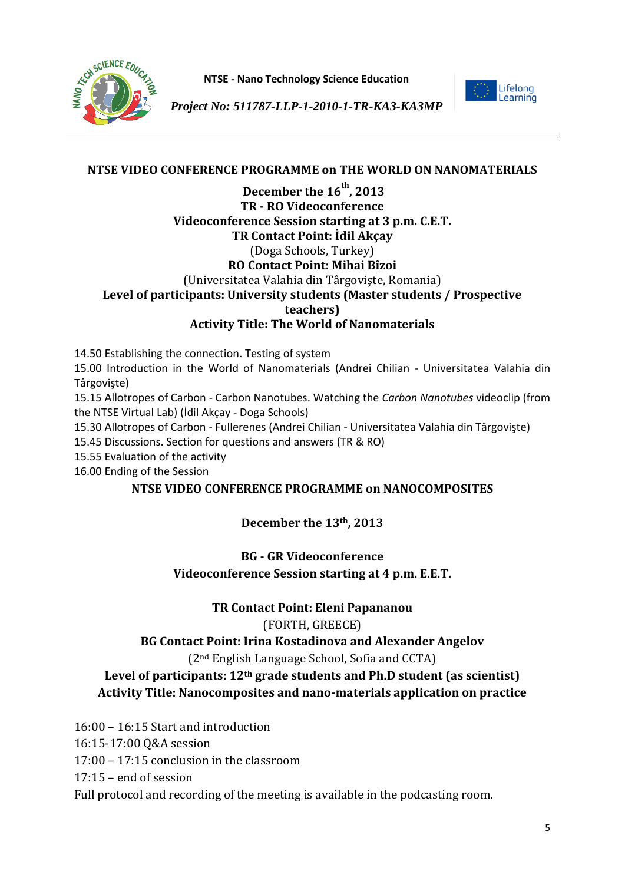



*Project No: 511787-LLP-1-2010-1-TR-KA3-KA3MP*

## **NTSE VIDEO CONFERENCE PROGRAMME on THE WORLD ON NANOMATERIALS**

## **December the 16th, 2013 TR - RO Videoconference Videoconference Session starting at 3 p.m. C.E.T. TR Contact Point: İdil Akçay**  (Doga Schools, Turkey) **RO Contact Point: Mihai Bîzoi**  (Universitatea Valahia din Târgovişte, Romania) **Level of participants: University students (Master students / Prospective teachers) Activity Title: The World of Nanomaterials**

14.50 Establishing the connection. Testing of system

15.00 Introduction in the World of Nanomaterials (Andrei Chilian - Universitatea Valahia din Târgovişte)

15.15 Allotropes of Carbon - Carbon Nanotubes. Watching the *Carbon Nanotubes* videoclip (from the NTSE Virtual Lab) (İdil Akçay - Doga Schools)

15.30 Allotropes of Carbon - Fullerenes (Andrei Chilian - Universitatea Valahia din Târgovişte)

15.45 Discussions. Section for questions and answers (TR & RO)

15.55 Evaluation of the activity

16.00 Ending of the Session

### **NTSE VIDEO CONFERENCE PROGRAMME on NANOCOMPOSITES**

**December the 13th, 2013**

## **BG - GR Videoconference Videoconference Session starting at 4 p.m. E.E.T.**

**TR Contact Point: Eleni Papananou**

### (FORTH, GREECE)

## **BG Contact Point: Irina Kostadinova and Alexander Angelov**

### (2nd English Language School, Sofia and CCTA)

## **Level of participants: 12th grade students and Ph.D student (as scientist) Activity Title: Nanocomposites and nano-materials application on practice**

16:00 – 16:15 Start and introduction

16:15-17:00 Q&A session

17:00 – 17:15 conclusion in the classroom

17:15 – end of session

Full protocol and recording of the meeting is available in the podcasting room.